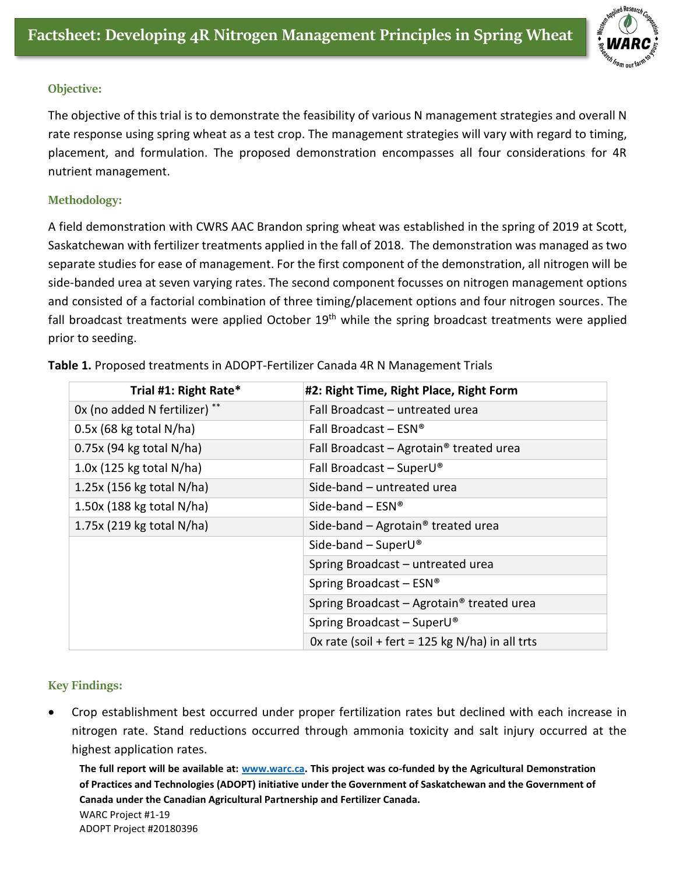

## **Objective:**

The objective of this trial is to demonstrate the feasibility of various N management strategies and overall N rate response using spring wheat as a test crop. The management strategies will vary with regard to timing, placement, and formulation. The proposed demonstration encompasses all four considerations for 4R nutrient management.

## **Methodology:**

A field demonstration with CWRS AAC Brandon spring wheat was established in the spring of 2019 at Scott, Saskatchewan with fertilizer treatments applied in the fall of 2018. The demonstration was managed as two separate studies for ease of management. For the first component of the demonstration, all nitrogen will be side-banded urea at seven varying rates. The second component focusses on nitrogen management options and consisted of a factorial combination of three timing/placement options and four nitrogen sources. The fall broadcast treatments were applied October  $19<sup>th</sup>$  while the spring broadcast treatments were applied prior to seeding.

| Trial #1: Right Rate*         | #2: Right Time, Right Place, Right Form               |
|-------------------------------|-------------------------------------------------------|
| 0x (no added N fertilizer) ** | Fall Broadcast - untreated urea                       |
| $0.5x$ (68 kg total N/ha)     | Fall Broadcast – $ESN^{\circledcirc}$                 |
| $0.75x$ (94 kg total N/ha)    | Fall Broadcast $-$ Agrotain <sup>®</sup> treated urea |
| $1.0x$ (125 kg total N/ha)    | Fall Broadcast - Super $U^{\circ}$                    |
| $1.25x$ (156 kg total N/ha)   | Side-band - untreated urea                            |
| $1.50x$ (188 kg total N/ha)   | Side-band $-$ ESN®                                    |
| 1.75x (219 kg total N/ha)     | Side-band $-$ Agrotain <sup>®</sup> treated urea      |
|                               | Side-band $-$ SuperU®                                 |
|                               | Spring Broadcast - untreated urea                     |
|                               | Spring Broadcast - ESN®                               |
|                               | Spring Broadcast - Agrotain <sup>®</sup> treated urea |
|                               | Spring Broadcast - SuperU®                            |
|                               | Ox rate (soil + fert = 125 kg $N/ha$ ) in all trts    |

**Table 1.** Proposed treatments in ADOPT-Fertilizer Canada 4R N Management Trials

## **Key Findings:**

• Crop establishment best occurred under proper fertilization rates but declined with each increase in nitrogen rate. Stand reductions occurred through ammonia toxicity and salt injury occurred at the highest application rates.

**The full report will be available at: [www.warc.ca.](http://www.warc.ca/) This project was co-funded by the Agricultural Demonstration of Practices and Technologies (ADOPT) initiative under the Government of Saskatchewan and the Government of Canada under the Canadian Agricultural Partnership and Fertilizer Canada.**  WARC Project #1-19 ADOPT Project #20180396